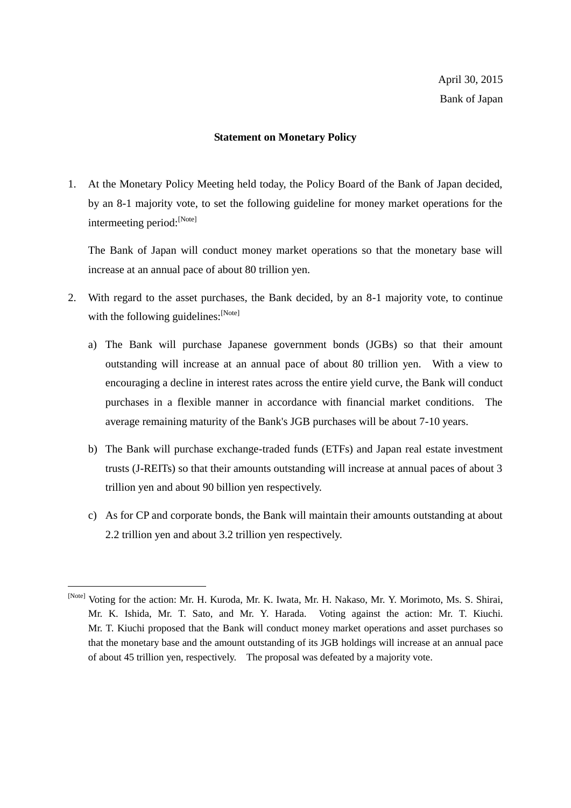## **Statement on Monetary Policy**

1. At the Monetary Policy Meeting held today, the Policy Board of the Bank of Japan decided, by an 8-1 majority vote, to set the following guideline for money market operations for the intermeeting period:[Note]

The Bank of Japan will conduct money market operations so that the monetary base will increase at an annual pace of about 80 trillion yen.

- 2. With regard to the asset purchases, the Bank decided, by an 8-1 majority vote, to continue with the following guidelines:  $[N<sub>ote</sub>]$ 
	- a) The Bank will purchase Japanese government bonds (JGBs) so that their amount outstanding will increase at an annual pace of about 80 trillion yen. With a view to encouraging a decline in interest rates across the entire yield curve, the Bank will conduct purchases in a flexible manner in accordance with financial market conditions. The average remaining maturity of the Bank's JGB purchases will be about 7-10 years.
	- b) The Bank will purchase exchange-traded funds (ETFs) and Japan real estate investment trusts (J-REITs) so that their amounts outstanding will increase at annual paces of about 3 trillion yen and about 90 billion yen respectively.
	- c) As for CP and corporate bonds, the Bank will maintain their amounts outstanding at about 2.2 trillion yen and about 3.2 trillion yen respectively.

<sup>[</sup>Note] Voting for the action: Mr. H. Kuroda, Mr. K. Iwata, Mr. H. Nakaso, Mr. Y. Morimoto, Ms. S. Shirai, Mr. K. Ishida, Mr. T. Sato, and Mr. Y. Harada. Voting against the action: Mr. T. Kiuchi. Mr. T. Kiuchi proposed that the Bank will conduct money market operations and asset purchases so that the monetary base and the amount outstanding of its JGB holdings will increase at an annual pace of about 45 trillion yen, respectively. The proposal was defeated by a majority vote.